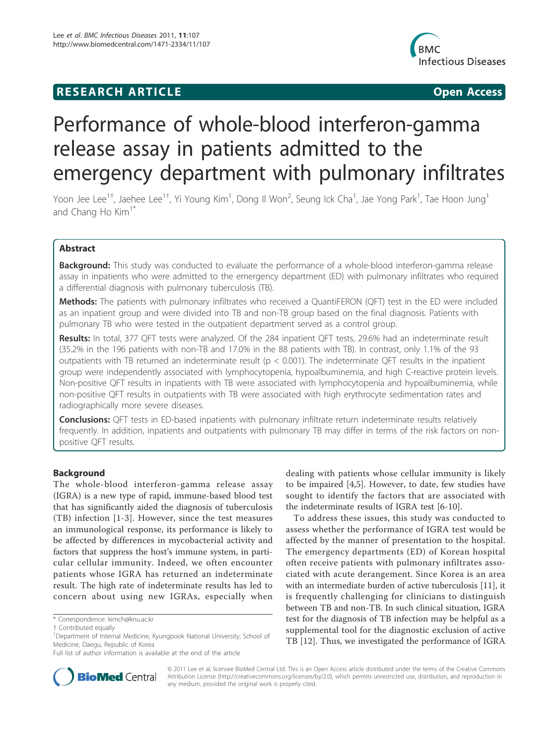## **RESEARCH ARTICLE Example 2018 CONSIDERING ACCESS**



# Performance of whole-blood interferon-gamma release assay in patients admitted to the emergency department with pulmonary infiltrates

Yoon Jee Lee<sup>1†</sup>, Jaehee Lee<sup>1†</sup>, Yi Young Kim<sup>1</sup>, Dong Il Won<sup>2</sup>, Seung Ick Cha<sup>1</sup>, Jae Yong Park<sup>1</sup>, Tae Hoon Jung<sup>1</sup> and Chang Ho  $Kim<sup>1*</sup>$ 

## Abstract

**Background:** This study was conducted to evaluate the performance of a whole-blood interferon-gamma release assay in inpatients who were admitted to the emergency department (ED) with pulmonary infiltrates who required a differential diagnosis with pulmonary tuberculosis (TB).

Methods: The patients with pulmonary infiltrates who received a QuantiFERON (QFT) test in the ED were included as an inpatient group and were divided into TB and non-TB group based on the final diagnosis. Patients with pulmonary TB who were tested in the outpatient department served as a control group.

Results: In total, 377 QFT tests were analyzed. Of the 284 inpatient QFT tests, 29.6% had an indeterminate result (35.2% in the 196 patients with non-TB and 17.0% in the 88 patients with TB). In contrast, only 1.1% of the 93 outpatients with TB returned an indeterminate result ( $p < 0.001$ ). The indeterminate QFT results in the inpatient group were independently associated with lymphocytopenia, hypoalbuminemia, and high C-reactive protein levels. Non-positive QFT results in inpatients with TB were associated with lymphocytopenia and hypoalbuminemia, while non-positive QFT results in outpatients with TB were associated with high erythrocyte sedimentation rates and radiographically more severe diseases.

**Conclusions:** QFT tests in ED-based inpatients with pulmonary infiltrate return indeterminate results relatively frequently. In addition, inpatients and outpatients with pulmonary TB may differ in terms of the risk factors on nonpositive QFT results.

## Background

The whole-blood interferon-gamma release assay (IGRA) is a new type of rapid, immune-based blood test that has significantly aided the diagnosis of tuberculosis (TB) infection [1-3]. However, since the test measures an immunological response, its performance is likely to be affected by differences in mycobacterial activity and factors that suppress the host's immune system, in particular cellular immunity. Indeed, we often encounter patients whose IGRA has returned an indeterminate result. The high rate of indeterminate results has led to concern about using new IGRAs, especially when

\* Correspondence: kimch@knu.ac.kr

dealing with patients whose cellular immunity is likely to be impaired [4,5]. However, to date, few studies have sought to identify the factors that are associated with the indeterminate results of IGRA test [6-10].

To address these issues, this study was conducted to assess whether the performance of IGRA test would be affected by the manner of presentation to the hospital. The emergency departments (ED) of Korean hospital often receive patients with pulmonary infiltrates associated with acute derangement. Since Korea is an area with an intermediate burden of active tuberculosis [11], it is frequently challenging for clinicians to distinguish between TB and non-TB. In such clinical situation, IGRA test for the diagnosis of TB infection may be helpful as a supplemental tool for the diagnostic exclusion of active TB [12]. Thus, we investigated the performance of IGRA



© 2011 Lee et al; licensee BioMed Central Ltd. This is an Open Access article distributed under the terms of the Creative Commons Attribution License (http://creativecommons.org/licenses/by/2.0), which permits unrestricted use, distribution, and reproduction in any medium, provided the original work is properly cited.

<sup>†</sup> Contributed equally <sup>1</sup>

<sup>&</sup>lt;sup>1</sup>Department of Internal Medicine, Kyungpook National University, School of Medicine, Daegu, Republic of Korea

Full list of author information is available at the end of the article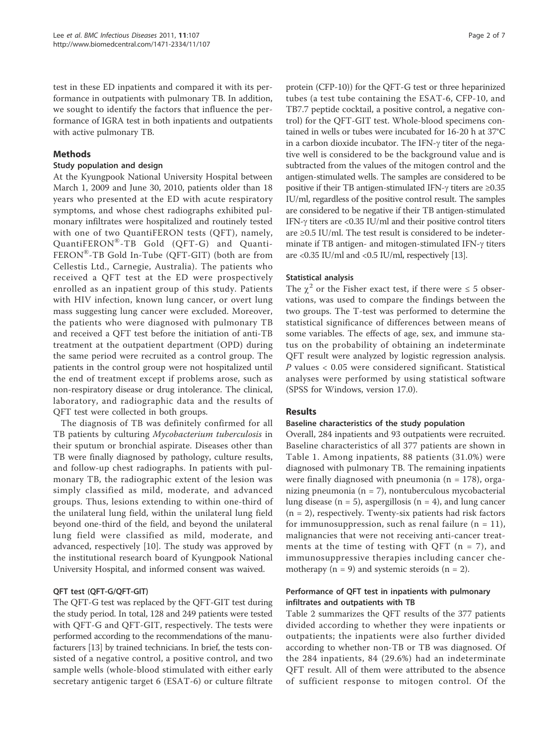test in these ED inpatients and compared it with its performance in outpatients with pulmonary TB. In addition, we sought to identify the factors that influence the performance of IGRA test in both inpatients and outpatients with active pulmonary TB.

## Methods

#### Study population and design

At the Kyungpook National University Hospital between March 1, 2009 and June 30, 2010, patients older than 18 years who presented at the ED with acute respiratory symptoms, and whose chest radiographs exhibited pulmonary infiltrates were hospitalized and routinely tested with one of two QuantiFERON tests (QFT), namely, QuantiFERON®-TB Gold (QFT-G) and Quanti-FERON®-TB Gold In-Tube (QFT-GIT) (both are from Cellestis Ltd., Carnegie, Australia). The patients who received a QFT test at the ED were prospectively enrolled as an inpatient group of this study. Patients with HIV infection, known lung cancer, or overt lung mass suggesting lung cancer were excluded. Moreover, the patients who were diagnosed with pulmonary TB and received a QFT test before the initiation of anti-TB treatment at the outpatient department (OPD) during the same period were recruited as a control group. The patients in the control group were not hospitalized until the end of treatment except if problems arose, such as non-respiratory disease or drug intolerance. The clinical, laboratory, and radiographic data and the results of QFT test were collected in both groups.

The diagnosis of TB was definitely confirmed for all TB patients by culturing Mycobacterium tuberculosis in their sputum or bronchial aspirate. Diseases other than TB were finally diagnosed by pathology, culture results, and follow-up chest radiographs. In patients with pulmonary TB, the radiographic extent of the lesion was simply classified as mild, moderate, and advanced groups. Thus, lesions extending to within one-third of the unilateral lung field, within the unilateral lung field beyond one-third of the field, and beyond the unilateral lung field were classified as mild, moderate, and advanced, respectively [10]. The study was approved by the institutional research board of Kyungpook National University Hospital, and informed consent was waived.

### QFT test (QFT-G/QFT-GIT)

The QFT-G test was replaced by the QFT-GIT test during the study period. In total, 128 and 249 patients were tested with QFT-G and QFT-GIT, respectively. The tests were performed according to the recommendations of the manufacturers [13] by trained technicians. In brief, the tests consisted of a negative control, a positive control, and two sample wells (whole-blood stimulated with either early secretary antigenic target 6 (ESAT-6) or culture filtrate

protein (CFP-10)) for the QFT-G test or three heparinized tubes (a test tube containing the ESAT-6, CFP-10, and TB7.7 peptide cocktail, a positive control, a negative control) for the QFT-GIT test. Whole-blood specimens contained in wells or tubes were incubated for 16-20 h at 37°C in a carbon dioxide incubator. The IFN- $\gamma$  titer of the negative well is considered to be the background value and is subtracted from the values of the mitogen control and the antigen-stimulated wells. The samples are considered to be positive if their TB antigen-stimulated IFN- $\gamma$  titers are ≥0.35 IU/ml, regardless of the positive control result. The samples are considered to be negative if their TB antigen-stimulated IFN- $\gamma$  titers are <0.35 IU/ml and their positive control titers are ≥0.5 IU/ml. The test result is considered to be indeterminate if TB antigen- and mitogen-stimulated IFN- $\gamma$  titers are <0.35 IU/ml and <0.5 IU/ml, respectively [13].

#### Statistical analysis

The  $\chi^2$  or the Fisher exact test, if there were  $\leq 5$  observations, was used to compare the findings between the two groups. The T-test was performed to determine the statistical significance of differences between means of some variables. The effects of age, sex, and immune status on the probability of obtaining an indeterminate QFT result were analyzed by logistic regression analysis. P values < 0.05 were considered significant. Statistical analyses were performed by using statistical software (SPSS for Windows, version 17.0).

### Results

#### Baseline characteristics of the study population

Overall, 284 inpatients and 93 outpatients were recruited. Baseline characteristics of all 377 patients are shown in Table 1. Among inpatients, 88 patients (31.0%) were diagnosed with pulmonary TB. The remaining inpatients were finally diagnosed with pneumonia ( $n = 178$ ), organizing pneumonia ( $n = 7$ ), nontuberculous mycobacterial lung disease ( $n = 5$ ), aspergillosis ( $n = 4$ ), and lung cancer  $(n = 2)$ , respectively. Twenty-six patients had risk factors for immunosuppression, such as renal failure  $(n = 11)$ , malignancies that were not receiving anti-cancer treatments at the time of testing with QFT  $(n = 7)$ , and immunosuppressive therapies including cancer chemotherapy ( $n = 9$ ) and systemic steroids ( $n = 2$ ).

### Performance of QFT test in inpatients with pulmonary infiltrates and outpatients with TB

Table 2 summarizes the QFT results of the 377 patients divided according to whether they were inpatients or outpatients; the inpatients were also further divided according to whether non-TB or TB was diagnosed. Of the 284 inpatients, 84 (29.6%) had an indeterminate QFT result. All of them were attributed to the absence of sufficient response to mitogen control. Of the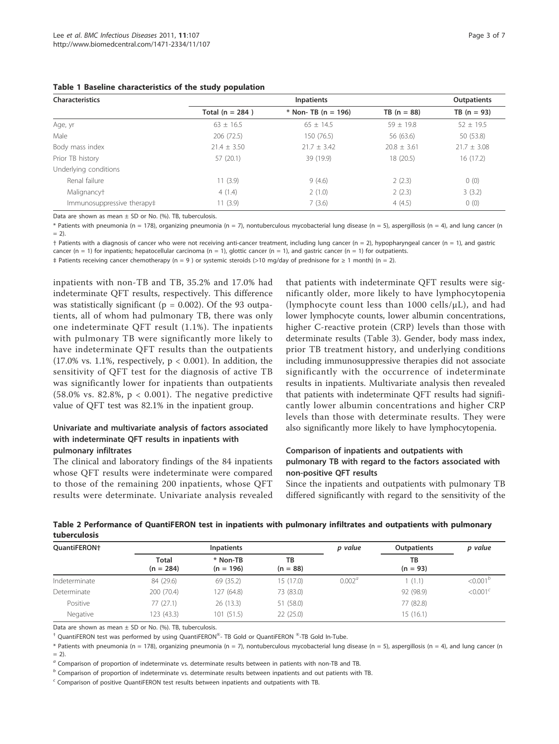| <b>Characteristics</b>     |                     | <b>Outpatients</b>  |               |               |
|----------------------------|---------------------|---------------------|---------------|---------------|
|                            | Total ( $n = 284$ ) | * Non- TB (n = 196) | $TB (n = 88)$ | $TB (n = 93)$ |
| Age, yr                    | $63 + 16.5$         | $65 + 14.5$         | $59 + 19.8$   | $52 \pm 19.5$ |
| Male                       | 206 (72.5)          | 150 (76.5)          | 56 (63.6)     | 50 (53.8)     |
| Body mass index            | $21.4 \pm 3.50$     | $21.7 + 3.42$       | $20.8 + 3.61$ | $21.7 + 3.08$ |
| Prior TB history           | 57(20.1)            | 39 (19.9)           | 18 (20.5)     | 16(17.2)      |
| Underlying conditions      |                     |                     |               |               |
| Renal failure              | 11(3.9)             | 9(4.6)              | 2(2.3)        | 0(0)          |
| Malignancyt                | 4(1.4)              | 2(1.0)              | 2(2.3)        | 3(3.2)        |
| Immunosuppressive therapy# | 11(3.9)             | 7(3.6)              | 4(4.5)        | 0(0)          |

|  |  |  | Table 1 Baseline characteristics of the study population |  |  |  |  |
|--|--|--|----------------------------------------------------------|--|--|--|--|
|--|--|--|----------------------------------------------------------|--|--|--|--|

Data are shown as mean ± SD or No. (%). TB, tuberculosis.

 $*$  Patients with pneumonia (n = 178), organizing pneumonia (n = 7), nontuberculous mycobacterial lung disease (n = 5), aspergillosis (n = 4), and lung cancer (n  $= 2$ ).

 $\dagger$  Patients with a diagnosis of cancer who were not receiving anti-cancer treatment, including lung cancer (n = 2), hypopharyngeal cancer (n = 1), and gastric cancer (n = 1) for inpatients; hepatocellular carcinoma (n = 1), glottic cancer (n = 1), and gastric cancer (n = 1) for outpatients.

‡ Patients receiving cancer chemotherapy (n = 9 ) or systemic steroids (>10 mg/day of prednisone for ≥ 1 month) (n = 2).

inpatients with non-TB and TB, 35.2% and 17.0% had indeterminate QFT results, respectively. This difference was statistically significant ( $p = 0.002$ ). Of the 93 outpatients, all of whom had pulmonary TB, there was only one indeterminate QFT result (1.1%). The inpatients with pulmonary TB were significantly more likely to have indeterminate QFT results than the outpatients  $(17.0\% \text{ vs. } 1.1\%$ , respectively,  $p < 0.001$ ). In addition, the sensitivity of QFT test for the diagnosis of active TB was significantly lower for inpatients than outpatients (58.0% vs. 82.8%,  $p < 0.001$ ). The negative predictive value of QFT test was 82.1% in the inpatient group.

#### Univariate and multivariate analysis of factors associated with indeterminate QFT results in inpatients with pulmonary infiltrates

The clinical and laboratory findings of the 84 inpatients whose QFT results were indeterminate were compared to those of the remaining 200 inpatients, whose QFT results were determinate. Univariate analysis revealed

that patients with indeterminate QFT results were significantly older, more likely to have lymphocytopenia (lymphocyte count less than  $1000$  cells/ $\mu$ L), and had lower lymphocyte counts, lower albumin concentrations, higher C-reactive protein (CRP) levels than those with determinate results (Table 3). Gender, body mass index, prior TB treatment history, and underlying conditions including immunosuppressive therapies did not associate significantly with the occurrence of indeterminate results in inpatients. Multivariate analysis then revealed that patients with indeterminate QFT results had significantly lower albumin concentrations and higher CRP levels than those with determinate results. They were also significantly more likely to have lymphocytopenia.

## Comparison of inpatients and outpatients with pulmonary TB with regard to the factors associated with non-positive QFT results

Since the inpatients and outpatients with pulmonary TB differed significantly with regard to the sensitivity of the

| OuantiFERON <sup>+</sup> |                      | <b>Inpatients</b>       |                  | p value   | Outpatients      | p value              |
|--------------------------|----------------------|-------------------------|------------------|-----------|------------------|----------------------|
|                          | Total<br>$(n = 284)$ | * Non-TB<br>$(n = 196)$ | TB<br>$(n = 88)$ |           | TB<br>$(n = 93)$ |                      |
| Indeterminate            | 84 (29.6)            | 69 (35.2)               | 15(17.0)         | $0.002^a$ | (1.1)            | < 0.001 <sup>b</sup> |
| Determinate              | 200 (70.4)           | 127 (64.8)              | 73 (83.0)        |           | 92 (98.9)        | < 0.001 <sup>c</sup> |
| Positive                 | 77(27.1)             | 26(13.3)                | 51 (58.0)        |           | 77 (82.8)        |                      |
| Negative                 | 123 (43.3)           | 101(51.5)               | 22(25.0)         |           | 15 (16.1)        |                      |

## Table 2 Performance of QuantiFERON test in inpatients with pulmonary infiltrates and outpatients with pulmonary tuberculosis

Data are shown as mean  $\pm$  SD or No. (%). TB, tuberculosis.

 $^{\dagger}$  QuantiFERON test was performed by using QuantiFERON®- TB Gold or QuantiFERON ®-TB Gold In-Tube.

\* Patients with pneumonia (n = 178), organizing pneumonia (n = 7), nontuberculous mycobacterial lung disease (n = 5), aspergillosis (n = 4), and lung cancer (n  $= 2$ ).

 $\degree$  Comparison of proportion of indeterminate vs. determinate results between in patients with non-TB and TB.

 $<sup>b</sup>$  Comparison of proportion of indeterminate vs. determinate results between inpatients and out patients with TB.</sup>

<sup>c</sup> Comparison of positive QuantiFERON test results between inpatients and outpatients with TB.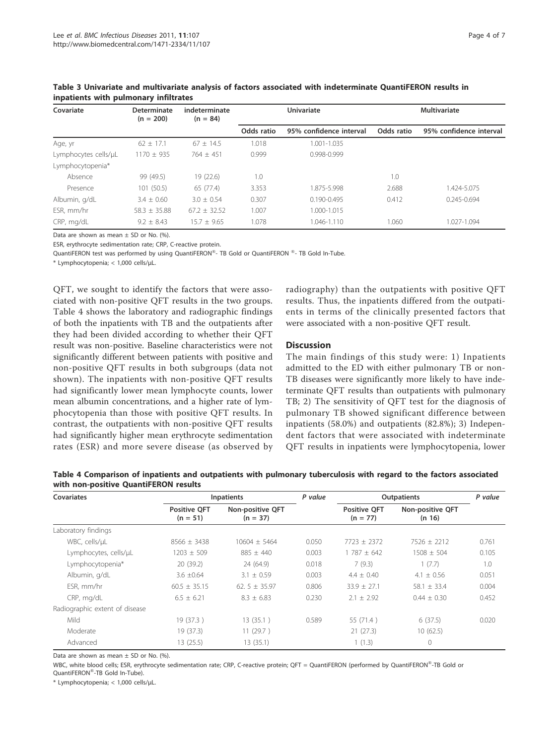| Covariate            | Determinate<br>$(n = 200)$ | indeterminate<br>$(n = 84)$ | <b>Univariate</b> |                         | <b>Multivariate</b> |                         |  |
|----------------------|----------------------------|-----------------------------|-------------------|-------------------------|---------------------|-------------------------|--|
|                      |                            |                             | Odds ratio        | 95% confidence interval | Odds ratio          | 95% confidence interval |  |
| Age, yr              | $62 \pm 17.1$              | $67 \pm 14.5$               | 1.018             | 1.001-1.035             |                     |                         |  |
| Lymphocytes cells/µL | $1170 \pm 935$             | $764 + 451$                 | 0.999             | $0.998 - 0.999$         |                     |                         |  |
| Lymphocytopenia*     |                            |                             |                   |                         |                     |                         |  |
| Absence              | 99 (49.5)                  | 19(22.6)                    | 1.0               |                         | 1.0                 |                         |  |
| Presence             | 101(50.5)                  | 65(77.4)                    | 3.353             | 1.875-5.998             | 2.688               | 1.424-5.075             |  |
| Albumin, g/dL        | $3.4 \pm 0.60$             | $3.0 + 0.54$                | 0.307             | $0.190 - 0.495$         | 0.412               | $0.245 - 0.694$         |  |
| ESR, mm/hr           | $58.3 + 35.88$             | $67.2 + 32.52$              | 1.007             | 1.000-1.015             |                     |                         |  |
| CRP, mg/dL           | $9.2 \pm 8.43$             | $15.7 + 9.65$               | 1.078             | 1.046-1.110             | 1.060               | 1.027-1.094             |  |

Table 3 Univariate and multivariate analysis of factors associated with indeterminate QuantiFERON results in inpatients with pulmonary infiltrates

Data are shown as mean  $\pm$  SD or No. (%).

ESR, erythrocyte sedimentation rate; CRP, C-reactive protein.

QuantiFERON test was performed by using QuantiFERON®- TB Gold or QuantiFERON ®- TB Gold In-Tube.

\* Lymphocytopenia; < 1,000 cells/μL.

QFT, we sought to identify the factors that were associated with non-positive QFT results in the two groups. Table 4 shows the laboratory and radiographic findings of both the inpatients with TB and the outpatients after they had been divided according to whether their QFT result was non-positive. Baseline characteristics were not significantly different between patients with positive and non-positive QFT results in both subgroups (data not shown). The inpatients with non-positive QFT results had significantly lower mean lymphocyte counts, lower mean albumin concentrations, and a higher rate of lymphocytopenia than those with positive QFT results. In contrast, the outpatients with non-positive QFT results had significantly higher mean erythrocyte sedimentation rates (ESR) and more severe disease (as observed by

radiography) than the outpatients with positive QFT results. Thus, the inpatients differed from the outpatients in terms of the clinically presented factors that were associated with a non-positive QFT result.

#### **Discussion**

The main findings of this study were: 1) Inpatients admitted to the ED with either pulmonary TB or non-TB diseases were significantly more likely to have indeterminate QFT results than outpatients with pulmonary TB; 2) The sensitivity of QFT test for the diagnosis of pulmonary TB showed significant difference between inpatients (58.0%) and outpatients (82.8%); 3) Independent factors that were associated with indeterminate QFT results in inpatients were lymphocytopenia, lower

Table 4 Comparison of inpatients and outpatients with pulmonary tuberculosis with regard to the factors associated with non-positive QuantiFERON results

| <b>Covariates</b>              | Inpatients                        |                                       | P value | <b>Outpatients</b>                | P value                           |       |
|--------------------------------|-----------------------------------|---------------------------------------|---------|-----------------------------------|-----------------------------------|-------|
|                                | <b>Positive QFT</b><br>$(n = 51)$ | <b>Non-positive QFT</b><br>$(n = 37)$ |         | <b>Positive OFT</b><br>$(n = 77)$ | <b>Non-positive QFT</b><br>(n 16) |       |
| Laboratory findings            |                                   |                                       |         |                                   |                                   |       |
| WBC, cells/uL                  | $8566 \pm 3438$                   | $10604 \pm 5464$                      | 0.050   | $7723 \pm 2372$                   | $7526 \pm 2212$                   | 0.761 |
| Lymphocytes, cells/µL          | $1203 + 509$                      | $885 \pm 440$                         | 0.003   | $1787 \pm 642$                    | $1508 + 504$                      | 0.105 |
| Lymphocytopenia*               | 20(39.2)                          | 24 (64.9)                             | 0.018   | 7(9.3)                            | 1(7.7)                            | 1.0   |
| Albumin, g/dL                  | $3.6 \pm 0.64$                    | $3.1 + 0.59$                          | 0.003   | $4.4 + 0.40$                      | $4.1 \pm 0.56$                    | 0.051 |
| ESR, mm/hr                     | $60.5 \pm 35.15$                  | 62.5 $\pm$ 35.97                      | 0.806   | $33.9 \pm 27.1$                   | $58.1 \pm 33.4$                   | 0.004 |
| CRP, mg/dL                     | $6.5 \pm 6.21$                    | $8.3 \pm 6.83$                        | 0.230   | $2.1 \pm 2.92$                    | $0.44 \pm 0.30$                   | 0.452 |
| Radiographic extent of disease |                                   |                                       |         |                                   |                                   |       |
| Mild                           | 19 (37.3)                         | 13(35.1)                              | 0.589   | 55 (71.4)                         | 6(37.5)                           | 0.020 |
| Moderate                       | 19 (37.3)                         | 11(29.7)                              |         | 21(27.3)                          | 10(62.5)                          |       |
| Advanced                       | 13(25.5)                          | 13(35.1)                              |         | 1(1.3)                            | $\circ$                           |       |

Data are shown as mean  $\pm$  SD or No. (%).

WBC, white blood cells; ESR, erythrocyte sedimentation rate; CRP, C-reactive protein; QFT = QuantiFERON (performed by QuantiFERON®-TB Gold or QuantiFERON®-TB Gold In-Tube).

\* Lymphocytopenia; < 1,000 cells/μL.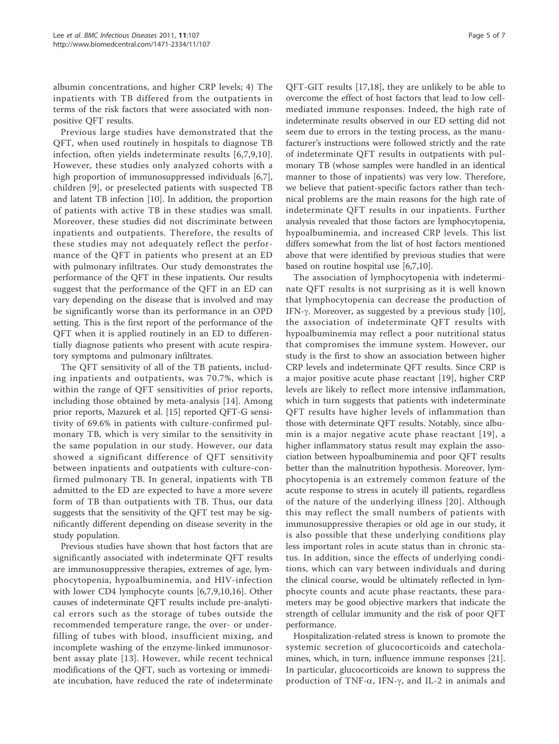albumin concentrations, and higher CRP levels; 4) The inpatients with TB differed from the outpatients in terms of the risk factors that were associated with nonpositive QFT results.

Previous large studies have demonstrated that the QFT, when used routinely in hospitals to diagnose TB infection, often yields indeterminate results [6,7,9,10]. However, these studies only analyzed cohorts with a high proportion of immunosuppressed individuals [6,7], children [9], or preselected patients with suspected TB and latent TB infection [10]. In addition, the proportion of patients with active TB in these studies was small. Moreover, these studies did not discriminate between inpatients and outpatients. Therefore, the results of these studies may not adequately reflect the performance of the QFT in patients who present at an ED with pulmonary infiltrates. Our study demonstrates the performance of the QFT in these inpatients. Our results suggest that the performance of the QFT in an ED can vary depending on the disease that is involved and may be significantly worse than its performance in an OPD setting. This is the first report of the performance of the QFT when it is applied routinely in an ED to differentially diagnose patients who present with acute respiratory symptoms and pulmonary infiltrates.

The QFT sensitivity of all of the TB patients, including inpatients and outpatients, was 70.7%, which is within the range of QFT sensitivities of prior reports, including those obtained by meta-analysis [14]. Among prior reports, Mazurek et al. [15] reported QFT-G sensitivity of 69.6% in patients with culture-confirmed pulmonary TB, which is very similar to the sensitivity in the same population in our study. However, our data showed a significant difference of QFT sensitivity between inpatients and outpatients with culture-confirmed pulmonary TB. In general, inpatients with TB admitted to the ED are expected to have a more severe form of TB than outpatients with TB. Thus, our data suggests that the sensitivity of the QFT test may be significantly different depending on disease severity in the study population.

Previous studies have shown that host factors that are significantly associated with indeterminate QFT results are immunosuppressive therapies, extremes of age, lymphocytopenia, hypoalbuminemia, and HIV-infection with lower CD4 lymphocyte counts [6,7,9,10,16]. Other causes of indeterminate QFT results include pre-analytical errors such as the storage of tubes outside the recommended temperature range, the over- or underfilling of tubes with blood, insufficient mixing, and incomplete washing of the enzyme-linked immunosorbent assay plate [13]. However, while recent technical modifications of the QFT, such as vortexing or immediate incubation, have reduced the rate of indeterminate

QFT-GIT results [17,18], they are unlikely to be able to overcome the effect of host factors that lead to low cellmediated immune responses. Indeed, the high rate of indeterminate results observed in our ED setting did not seem due to errors in the testing process, as the manufacturer's instructions were followed strictly and the rate of indeterminate QFT results in outpatients with pulmonary TB (whose samples were handled in an identical manner to those of inpatients) was very low. Therefore, we believe that patient-specific factors rather than technical problems are the main reasons for the high rate of indeterminate QFT results in our inpatients. Further analysis revealed that those factors are lymphocytopenia, hypoalbuminemia, and increased CRP levels. This list differs somewhat from the list of host factors mentioned above that were identified by previous studies that were based on routine hospital use [6,7,10].

The association of lymphocytopenia with indeterminate QFT results is not surprising as it is well known that lymphocytopenia can decrease the production of IFN-g. Moreover, as suggested by a previous study [10], the association of indeterminate QFT results with hypoalbuminemia may reflect a poor nutritional status that compromises the immune system. However, our study is the first to show an association between higher CRP levels and indeterminate QFT results. Since CRP is a major positive acute phase reactant [19], higher CRP levels are likely to reflect more intensive inflammation, which in turn suggests that patients with indeterminate QFT results have higher levels of inflammation than those with determinate QFT results. Notably, since albumin is a major negative acute phase reactant [19], a higher inflammatory status result may explain the association between hypoalbuminemia and poor QFT results better than the malnutrition hypothesis. Moreover, lymphocytopenia is an extremely common feature of the acute response to stress in acutely ill patients, regardless of the nature of the underlying illness [20]. Although this may reflect the small numbers of patients with immunosuppressive therapies or old age in our study, it is also possible that these underlying conditions play less important roles in acute status than in chronic status. In addition, since the effects of underlying conditions, which can vary between individuals and during the clinical course, would be ultimately reflected in lymphocyte counts and acute phase reactants, these parameters may be good objective markers that indicate the strength of cellular immunity and the risk of poor QFT performance.

Hospitalization-related stress is known to promote the systemic secretion of glucocorticoids and catecholamines, which, in turn, influence immune responses [21]. In particular, glucocorticoids are known to suppress the production of TNF- $\alpha$ , IFN- $\gamma$ , and IL-2 in animals and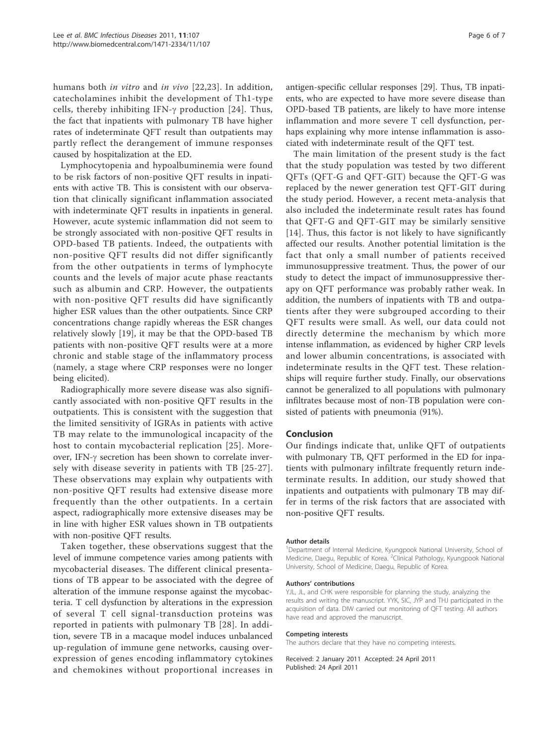humans both in vitro and in vivo [22,23]. In addition, catecholamines inhibit the development of Th1-type cells, thereby inhibiting IFN- $\gamma$  production [24]. Thus, the fact that inpatients with pulmonary TB have higher rates of indeterminate QFT result than outpatients may partly reflect the derangement of immune responses caused by hospitalization at the ED.

Lymphocytopenia and hypoalbuminemia were found to be risk factors of non-positive QFT results in inpatients with active TB. This is consistent with our observation that clinically significant inflammation associated with indeterminate QFT results in inpatients in general. However, acute systemic inflammation did not seem to be strongly associated with non-positive QFT results in OPD-based TB patients. Indeed, the outpatients with non-positive QFT results did not differ significantly from the other outpatients in terms of lymphocyte counts and the levels of major acute phase reactants such as albumin and CRP. However, the outpatients with non-positive QFT results did have significantly higher ESR values than the other outpatients. Since CRP concentrations change rapidly whereas the ESR changes relatively slowly [19], it may be that the OPD-based TB patients with non-positive QFT results were at a more chronic and stable stage of the inflammatory process (namely, a stage where CRP responses were no longer being elicited).

Radiographically more severe disease was also significantly associated with non-positive QFT results in the outpatients. This is consistent with the suggestion that the limited sensitivity of IGRAs in patients with active TB may relate to the immunological incapacity of the host to contain mycobacterial replication [25]. Moreover, IFN-g secretion has been shown to correlate inversely with disease severity in patients with TB [25-27]. These observations may explain why outpatients with non-positive QFT results had extensive disease more frequently than the other outpatients. In a certain aspect, radiographically more extensive diseases may be in line with higher ESR values shown in TB outpatients with non-positive QFT results.

Taken together, these observations suggest that the level of immune competence varies among patients with mycobacterial diseases. The different clinical presentations of TB appear to be associated with the degree of alteration of the immune response against the mycobacteria. T cell dysfunction by alterations in the expression of several T cell signal-transduction proteins was reported in patients with pulmonary TB [28]. In addition, severe TB in a macaque model induces unbalanced up-regulation of immune gene networks, causing overexpression of genes encoding inflammatory cytokines and chemokines without proportional increases in

antigen-specific cellular responses [29]. Thus, TB inpatients, who are expected to have more severe disease than OPD-based TB patients, are likely to have more intense inflammation and more severe T cell dysfunction, perhaps explaining why more intense inflammation is associated with indeterminate result of the QFT test.

The main limitation of the present study is the fact that the study population was tested by two different QFTs (QFT-G and QFT-GIT) because the QFT-G was replaced by the newer generation test QFT-GIT during the study period. However, a recent meta-analysis that also included the indeterminate result rates has found that QFT-G and QFT-GIT may be similarly sensitive [14]. Thus, this factor is not likely to have significantly affected our results. Another potential limitation is the fact that only a small number of patients received immunosuppressive treatment. Thus, the power of our study to detect the impact of immunosuppressive therapy on QFT performance was probably rather weak. In addition, the numbers of inpatients with TB and outpatients after they were subgrouped according to their QFT results were small. As well, our data could not directly determine the mechanism by which more intense inflammation, as evidenced by higher CRP levels and lower albumin concentrations, is associated with indeterminate results in the QFT test. These relationships will require further study. Finally, our observations cannot be generalized to all populations with pulmonary infiltrates because most of non-TB population were consisted of patients with pneumonia (91%).

### Conclusion

Our findings indicate that, unlike QFT of outpatients with pulmonary TB, QFT performed in the ED for inpatients with pulmonary infiltrate frequently return indeterminate results. In addition, our study showed that inpatients and outpatients with pulmonary TB may differ in terms of the risk factors that are associated with non-positive QFT results.

#### Author details

<sup>1</sup>Department of Internal Medicine, Kyungpook National University, School of Medicine, Daegu, Republic of Korea. <sup>2</sup>Clinical Pathology, Kyungpook National University, School of Medicine, Daegu, Republic of Korea.

#### Authors' contributions

YJL, JL, and CHK were responsible for planning the study, analyzing the results and writing the manuscript. YYK, SIC, JYP and THJ participated in the acquisition of data. DIW carried out monitoring of QFT testing. All authors have read and approved the manuscript.

#### Competing interests

The authors declare that they have no competing interests.

Received: 2 January 2011 Accepted: 24 April 2011 Published: 24 April 2011